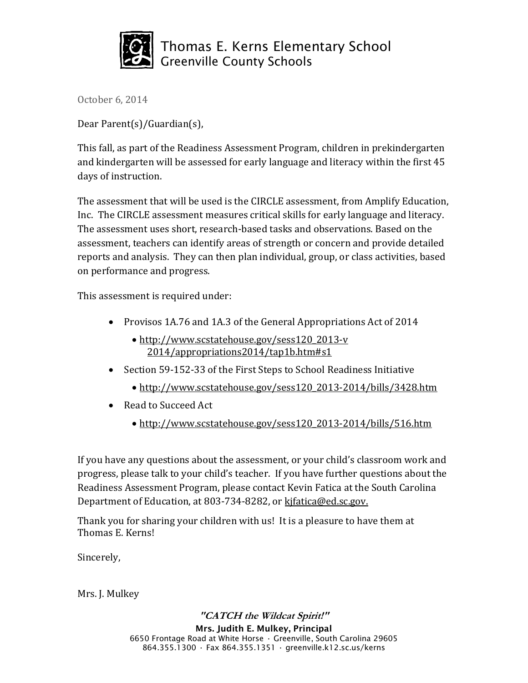

Thomas E. Kerns Elementary School Greenville County Schools

October 6, 2014

Dear Parent(s)/Guardian(s),

This fall, as part of the Readiness Assessment Program, children in prekindergarten and kindergarten will be assessed for early language and literacy within the first 45 days of instruction.

The assessment that will be used is the CIRCLE assessment, from Amplify Education, Inc. The CIRCLE assessment measures critical skills for early language and literacy. The assessment uses short, research-based tasks and observations. Based on the assessment, teachers can identify areas of strength or concern and provide detailed reports and analysis. They can then plan individual, group, or class activities, based on performance and progress.

This assessment is required under:

- Provisos 1A.76 and 1A.3 of the General Appropriations Act of 2014
	- [http://www.scstatehouse.gov/sess120\\_2013-v](http://www.scstatehouse.gov/sess120_2013-v%20%202014/appropriations2014/tap1b.htm#s1)  [2014/appropriations2014/tap1b.htm#s1](http://www.scstatehouse.gov/sess120_2013-v%20%202014/appropriations2014/tap1b.htm#s1)
- Section 59-152-33 of the First Steps to School Readiness Initiative
	- [http://www.scstatehouse.gov/sess120\\_2013-2014/bills/3428.htm](http://www.scstatehouse.gov/sess120_2013-2014/bills/3428.htm)
- Read to Succeed Act
	- [http://www.scstatehouse.gov/sess120\\_2013-2014/bills/516.htm](http://www.scstatehouse.gov/sess120_2013-2014/bills/516.htm)

If you have any questions about the assessment, or your child's classroom work and progress, please talk to your child's teacher. If you have further questions about the Readiness Assessment Program, please contact Kevin Fatica at the South Carolina Department of Education, at 803-734-8282, or kifatica@ed.sc.gov.

Thank you for sharing your children with us! It is a pleasure to have them at Thomas E. Kerns!

Sincerely,

Mrs. J. Mulkey

**"CATCH the Wildcat Spirit!" Mrs. Judith E. Mulkey, Principal** 6650 Frontage Road at White Horse • Greenville, South Carolina 29605 864.355.1300 • Fax 864.355.1351 • greenville.k12.sc.us/kerns